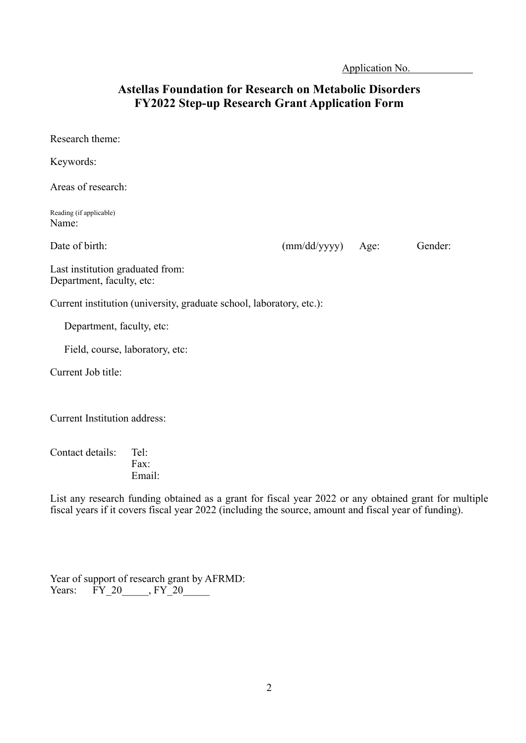Application No. .

## **Astellas Foundation for Research on Metabolic Disorders FY2022 Step-up Research Grant Application Form**

| Research theme:                                                      |                     |         |
|----------------------------------------------------------------------|---------------------|---------|
| Keywords:                                                            |                     |         |
| Areas of research:                                                   |                     |         |
| Reading (if applicable)<br>Name:                                     |                     |         |
| Date of birth:                                                       | $(mm/dd/yyyy)$ Age: | Gender: |
| Last institution graduated from:<br>Department, faculty, etc:        |                     |         |
| Current institution (university, graduate school, laboratory, etc.): |                     |         |
| Department, faculty, etc:                                            |                     |         |
| Field, course, laboratory, etc:                                      |                     |         |
| Current Job title:                                                   |                     |         |
| <b>Current Institution address:</b>                                  |                     |         |

Contact details: Tel: Fax: Email:

List any research funding obtained as a grant for fiscal year 2022 or any obtained grant for multiple fiscal years if it covers fiscal year 2022 (including the source, amount and fiscal year of funding).

|              | Year of support of research grant by AFRMD: |  |
|--------------|---------------------------------------------|--|
| Years: FY 20 | FY 20                                       |  |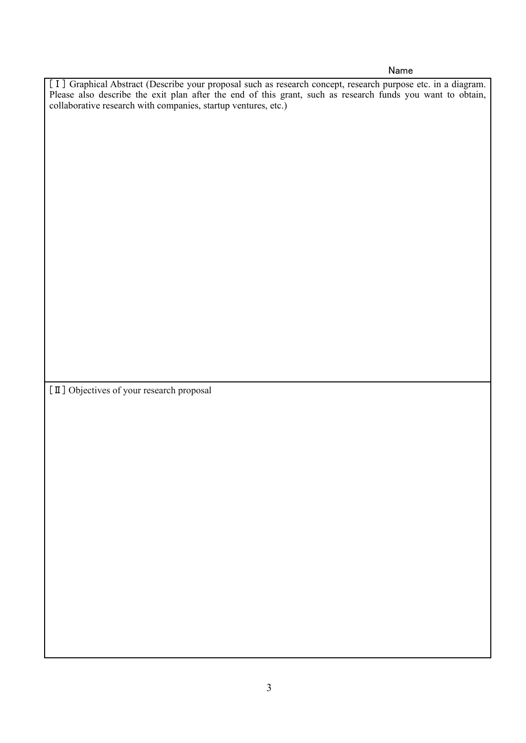## Name

[I] Graphical Abstract (Describe your proposal such as research concept, research purpose etc. in a diagram. Please also describe the exit plan after the end of this grant, such as research funds you want to obtain, collaborative research with companies, startup ventures, etc.)

[Ⅱ] Objectives of your research proposal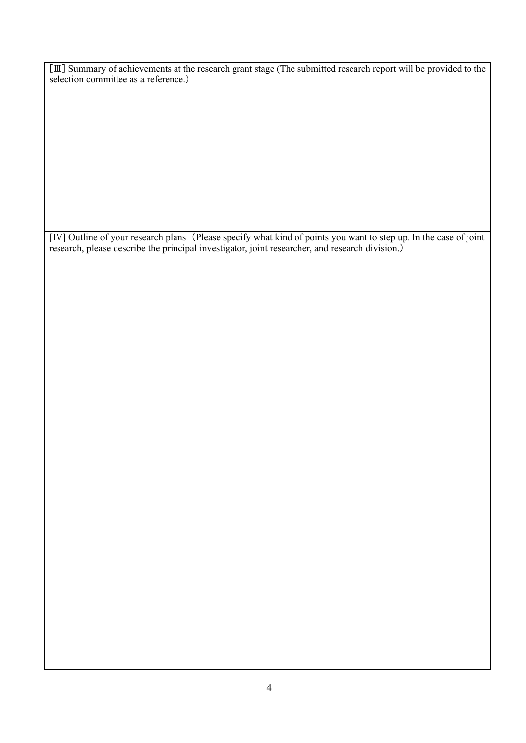[Ⅲ] Summary of achievements at the research grant stage (The submitted research report will be provided to the selection committee as a reference.)

[Ⅳ] Outline of your research plans (Please specify what kind of points you want to step up. In the case of joint research, please describe the principal investigator, joint researcher, and research division.)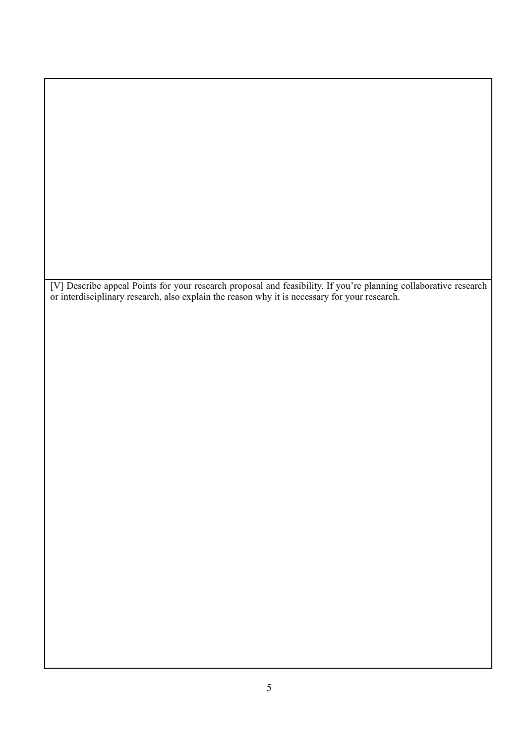[Ⅴ] Describe appeal Points for your research proposal and feasibility. If you're planning collaborative research or interdisciplinary research, also explain the reason why it is necessary for your research.